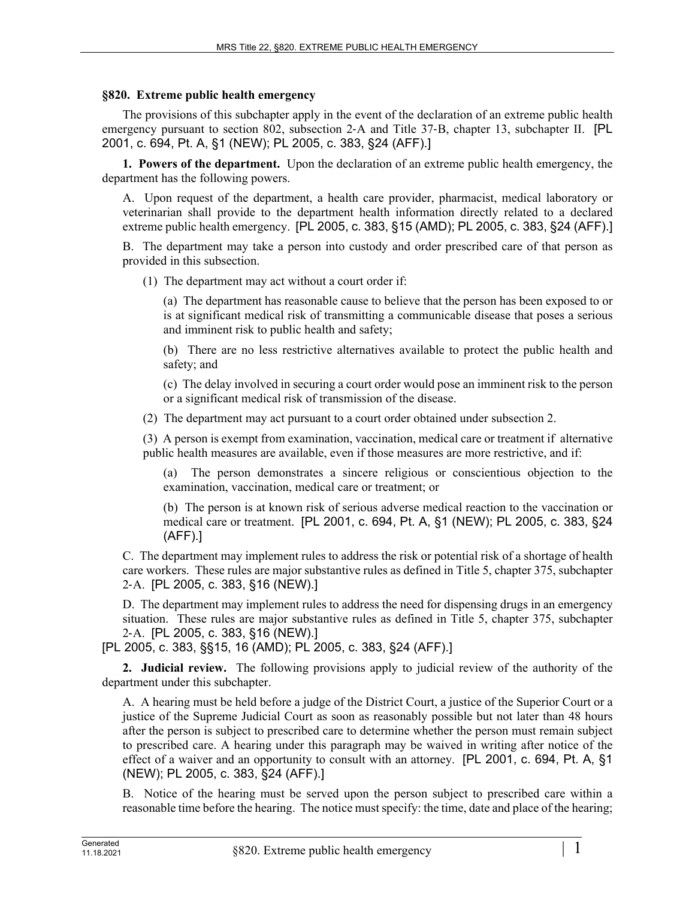## **§820. Extreme public health emergency**

The provisions of this subchapter apply in the event of the declaration of an extreme public health emergency pursuant to section 802, subsection 2–A and Title 37–B, chapter 13, subchapter II. [PL] 2001, c. 694, Pt. A, §1 (NEW); PL 2005, c. 383, §24 (AFF).]

**1. Powers of the department.** Upon the declaration of an extreme public health emergency, the department has the following powers.

A. Upon request of the department, a health care provider, pharmacist, medical laboratory or veterinarian shall provide to the department health information directly related to a declared extreme public health emergency. [PL 2005, c. 383, §15 (AMD); PL 2005, c. 383, §24 (AFF).]

B. The department may take a person into custody and order prescribed care of that person as provided in this subsection.

(1) The department may act without a court order if:

(a) The department has reasonable cause to believe that the person has been exposed to or is at significant medical risk of transmitting a communicable disease that poses a serious and imminent risk to public health and safety;

(b) There are no less restrictive alternatives available to protect the public health and safety; and

(c) The delay involved in securing a court order would pose an imminent risk to the person or a significant medical risk of transmission of the disease.

(2) The department may act pursuant to a court order obtained under subsection 2.

(3) A person is exempt from examination, vaccination, medical care or treatment if alternative public health measures are available, even if those measures are more restrictive, and if:

The person demonstrates a sincere religious or conscientious objection to the examination, vaccination, medical care or treatment; or

(b) The person is at known risk of serious adverse medical reaction to the vaccination or medical care or treatment. [PL 2001, c. 694, Pt. A, §1 (NEW); PL 2005, c. 383, §24 (AFF).]

C. The department may implement rules to address the risk or potential risk of a shortage of health care workers. These rules are major substantive rules as defined in Title 5, chapter 375, subchapter 2‑A. [PL 2005, c. 383, §16 (NEW).]

D. The department may implement rules to address the need for dispensing drugs in an emergency situation. These rules are major substantive rules as defined in Title 5, chapter 375, subchapter 2‑A. [PL 2005, c. 383, §16 (NEW).]

[PL 2005, c. 383, §§15, 16 (AMD); PL 2005, c. 383, §24 (AFF).]

**2. Judicial review.** The following provisions apply to judicial review of the authority of the department under this subchapter.

A. A hearing must be held before a judge of the District Court, a justice of the Superior Court or a justice of the Supreme Judicial Court as soon as reasonably possible but not later than 48 hours after the person is subject to prescribed care to determine whether the person must remain subject to prescribed care. A hearing under this paragraph may be waived in writing after notice of the effect of a waiver and an opportunity to consult with an attorney. [PL 2001, c. 694, Pt. A, §1 (NEW); PL 2005, c. 383, §24 (AFF).]

B. Notice of the hearing must be served upon the person subject to prescribed care within a reasonable time before the hearing. The notice must specify: the time, date and place of the hearing;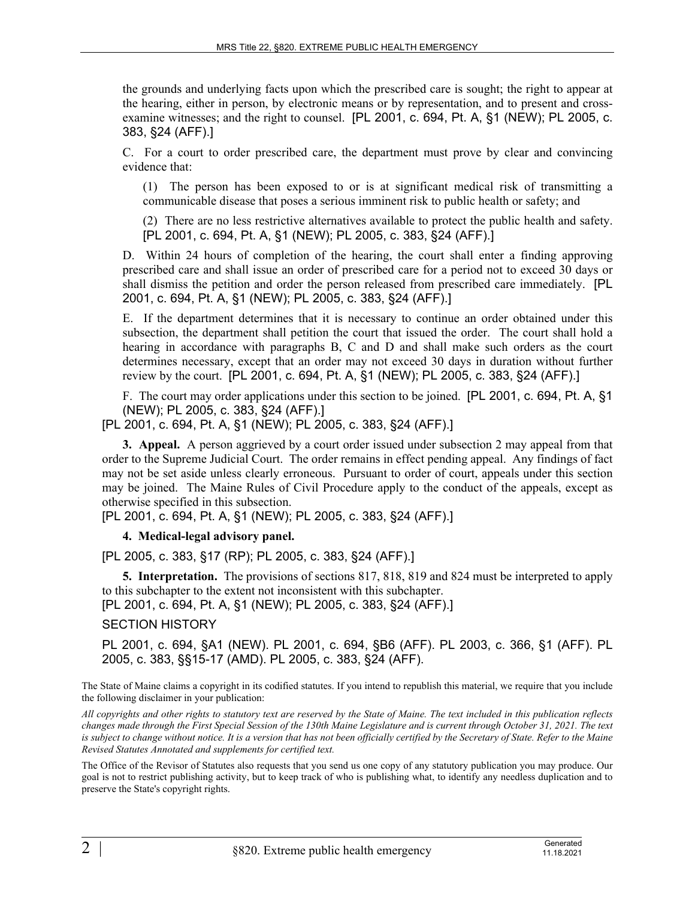the grounds and underlying facts upon which the prescribed care is sought; the right to appear at the hearing, either in person, by electronic means or by representation, and to present and crossexamine witnesses; and the right to counsel. [PL 2001, c. 694, Pt. A, §1 (NEW); PL 2005, c. 383, §24 (AFF).]

C. For a court to order prescribed care, the department must prove by clear and convincing evidence that:

(1) The person has been exposed to or is at significant medical risk of transmitting a communicable disease that poses a serious imminent risk to public health or safety; and

(2) There are no less restrictive alternatives available to protect the public health and safety. [PL 2001, c. 694, Pt. A, §1 (NEW); PL 2005, c. 383, §24 (AFF).]

D. Within 24 hours of completion of the hearing, the court shall enter a finding approving prescribed care and shall issue an order of prescribed care for a period not to exceed 30 days or shall dismiss the petition and order the person released from prescribed care immediately. [PL 2001, c. 694, Pt. A, §1 (NEW); PL 2005, c. 383, §24 (AFF).]

E. If the department determines that it is necessary to continue an order obtained under this subsection, the department shall petition the court that issued the order. The court shall hold a hearing in accordance with paragraphs B, C and D and shall make such orders as the court determines necessary, except that an order may not exceed 30 days in duration without further review by the court. [PL 2001, c. 694, Pt. A, §1 (NEW); PL 2005, c. 383, §24 (AFF).]

F. The court may order applications under this section to be joined. [PL 2001, c. 694, Pt. A, §1 (NEW); PL 2005, c. 383, §24 (AFF).]

[PL 2001, c. 694, Pt. A, §1 (NEW); PL 2005, c. 383, §24 (AFF).]

**3. Appeal.** A person aggrieved by a court order issued under subsection 2 may appeal from that order to the Supreme Judicial Court. The order remains in effect pending appeal. Any findings of fact may not be set aside unless clearly erroneous. Pursuant to order of court, appeals under this section may be joined. The Maine Rules of Civil Procedure apply to the conduct of the appeals, except as otherwise specified in this subsection.

[PL 2001, c. 694, Pt. A, §1 (NEW); PL 2005, c. 383, §24 (AFF).]

**4. Medical-legal advisory panel.** 

[PL 2005, c. 383, §17 (RP); PL 2005, c. 383, §24 (AFF).]

**5. Interpretation.** The provisions of sections 817, 818, 819 and 824 must be interpreted to apply to this subchapter to the extent not inconsistent with this subchapter.

[PL 2001, c. 694, Pt. A, §1 (NEW); PL 2005, c. 383, §24 (AFF).]

SECTION HISTORY

PL 2001, c. 694, §A1 (NEW). PL 2001, c. 694, §B6 (AFF). PL 2003, c. 366, §1 (AFF). PL 2005, c. 383, §§15-17 (AMD). PL 2005, c. 383, §24 (AFF).

The State of Maine claims a copyright in its codified statutes. If you intend to republish this material, we require that you include the following disclaimer in your publication:

*All copyrights and other rights to statutory text are reserved by the State of Maine. The text included in this publication reflects changes made through the First Special Session of the 130th Maine Legislature and is current through October 31, 2021. The text*  is subject to change without notice. It is a version that has not been officially certified by the Secretary of State. Refer to the Maine *Revised Statutes Annotated and supplements for certified text.*

The Office of the Revisor of Statutes also requests that you send us one copy of any statutory publication you may produce. Our goal is not to restrict publishing activity, but to keep track of who is publishing what, to identify any needless duplication and to preserve the State's copyright rights.